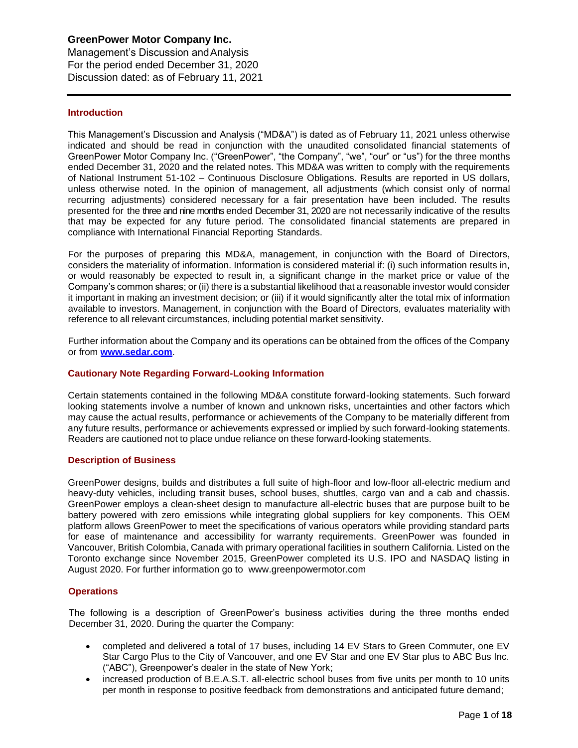Management's Discussion andAnalysis For the period ended December 31, 2020 Discussion dated: as of February 11, 2021

### **Introduction**

, 2020

This Management's Discussion and Analysis ("MD&A") is dated as of February 11, 2021 unless otherwise indicated and should be read in conjunction with the unaudited consolidated financial statements of GreenPower Motor Company Inc. ("GreenPower", "the Company", "we", "our" or "us") for the three months ended December 31, 2020 and the related notes. This MD&A was written to comply with the requirements of National Instrument 51-102 – Continuous Disclosure Obligations. Results are reported in US dollars, unless otherwise noted. In the opinion of management, all adjustments (which consist only of normal recurring adjustments) considered necessary for a fair presentation have been included. The results presented for the three and nine months ended December 31, 2020 are not necessarily indicative of the results that may be expected for any future period. The consolidated financial statements are prepared in compliance with International Financial Reporting Standards.

For the purposes of preparing this MD&A, management, in conjunction with the Board of Directors, considers the materiality of information. Information is considered material if: (i) such information results in, or would reasonably be expected to result in, a significant change in the market price or value of the Company's common shares; or (ii) there is a substantial likelihood that a reasonable investor would consider it important in making an investment decision; or (iii) if it would significantly alter the total mix of information available to investors. Management, in conjunction with the Board of Directors, evaluates materiality with reference to all relevant circumstances, including potential market sensitivity.

Further information about the Company and its operations can be obtained from the offices of the Company or from **[www.sedar.com](http://www.sedar.com/)**.

### **Cautionary Note Regarding Forward-Looking Information**

Certain statements contained in the following MD&A constitute forward-looking statements. Such forward looking statements involve a number of known and unknown risks, uncertainties and other factors which may cause the actual results, performance or achievements of the Company to be materially different from any future results, performance or achievements expressed or implied by such forward-looking statements. Readers are cautioned not to place undue reliance on these forward-looking statements.

### **Description of Business**

GreenPower designs, builds and distributes a full suite of high-floor and low-floor all-electric medium and heavy-duty vehicles, including transit buses, school buses, shuttles, cargo van and a cab and chassis. GreenPower employs a clean-sheet design to manufacture all-electric buses that are purpose built to be battery powered with zero emissions while integrating global suppliers for key components. This OEM platform allows GreenPower to meet the specifications of various operators while providing standard parts for ease of maintenance and accessibility for warranty requirements. GreenPower was founded in Vancouver, British Colombia, Canada with primary operational facilities in southern California. Listed on the Toronto exchange since November 2015, GreenPower completed its U.S. IPO and NASDAQ listing in August 2020. For further information go to [www.greenpowermotor.com](http://www.greenpowermotor.com/)

### **Operations**

The following is a description of GreenPower's business activities during the three months ended December 31, 2020. During the quarter the Company:

- completed and delivered a total of 17 buses, including 14 EV Stars to Green Commuter, one EV Star Cargo Plus to the City of Vancouver, and one EV Star and one EV Star plus to ABC Bus Inc. ("ABC"), Greenpower's dealer in the state of New York;
- increased production of B.E.A.S.T. all-electric school buses from five units per month to 10 units per month in response to positive feedback from demonstrations and anticipated future demand;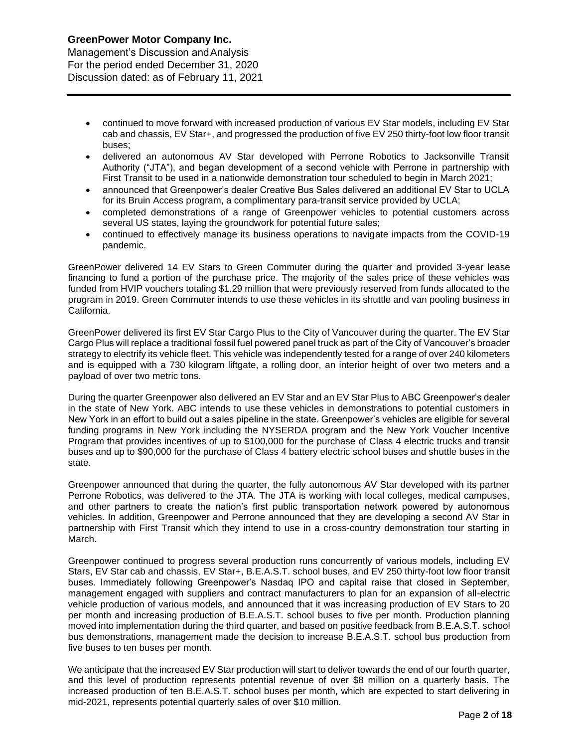, 2020

Management's Discussion andAnalysis For the period ended December 31, 2020 Discussion dated: as of February 11, 2021

- continued to move forward with increased production of various EV Star models, including EV Star cab and chassis, EV Star+, and progressed the production of five EV 250 thirty-foot low floor transit buses;
- delivered an autonomous AV Star developed with Perrone Robotics to Jacksonville Transit Authority ("JTA"), and began development of a second vehicle with Perrone in partnership with First Transit to be used in a nationwide demonstration tour scheduled to begin in March 2021;
- announced that Greenpower's dealer Creative Bus Sales delivered an additional EV Star to UCLA for its Bruin Access program, a complimentary para-transit service provided by UCLA;
- completed demonstrations of a range of Greenpower vehicles to potential customers across several US states, laying the groundwork for potential future sales;
- continued to effectively manage its business operations to navigate impacts from the COVID-19 pandemic.

GreenPower delivered 14 EV Stars to Green Commuter during the quarter and provided 3-year lease financing to fund a portion of the purchase price. The majority of the sales price of these vehicles was funded from HVIP vouchers totaling \$1.29 million that were previously reserved from funds allocated to the program in 2019. Green Commuter intends to use these vehicles in its shuttle and van pooling business in California.

GreenPower delivered its first EV Star Cargo Plus to the City of Vancouver during the quarter. The EV Star Cargo Plus will replace a traditional fossil fuel powered panel truck as part of the City of Vancouver's broader strategy to electrify its vehicle fleet. This vehicle was independently tested for a range of over 240 kilometers and is equipped with a 730 kilogram liftgate, a rolling door, an interior height of over two meters and a payload of over two metric tons.

During the quarter Greenpower also delivered an EV Star and an EV Star Plus to ABC Greenpower's dealer in the state of New York. ABC intends to use these vehicles in demonstrations to potential customers in New York in an effort to build out a sales pipeline in the state. Greenpower's vehicles are eligible for several funding programs in New York including the NYSERDA program and the New York Voucher Incentive Program that provides incentives of up to \$100,000 for the purchase of Class 4 electric trucks and transit buses and up to \$90,000 for the purchase of Class 4 battery electric school buses and shuttle buses in the state.

Greenpower announced that during the quarter, the fully autonomous AV Star developed with its partner Perrone Robotics, was delivered to the JTA. The JTA is working with local colleges, medical campuses, and other partners to create the nation's first public transportation network powered by autonomous vehicles. In addition, Greenpower and Perrone announced that they are developing a second AV Star in partnership with First Transit which they intend to use in a cross-country demonstration tour starting in March.

Greenpower continued to progress several production runs concurrently of various models, including EV Stars, EV Star cab and chassis, EV Star+, B.E.A.S.T. school buses, and EV 250 thirty-foot low floor transit buses. Immediately following Greenpower's Nasdaq IPO and capital raise that closed in September, management engaged with suppliers and contract manufacturers to plan for an expansion of all-electric vehicle production of various models, and announced that it was increasing production of EV Stars to 20 per month and increasing production of B.E.A.S.T. school buses to five per month. Production planning moved into implementation during the third quarter, and based on positive feedback from B.E.A.S.T. school bus demonstrations, management made the decision to increase B.E.A.S.T. school bus production from five buses to ten buses per month.

We anticipate that the increased EV Star production will start to deliver towards the end of our fourth quarter, and this level of production represents potential revenue of over \$8 million on a quarterly basis. The increased production of ten B.E.A.S.T. school buses per month, which are expected to start delivering in mid-2021, represents potential quarterly sales of over \$10 million.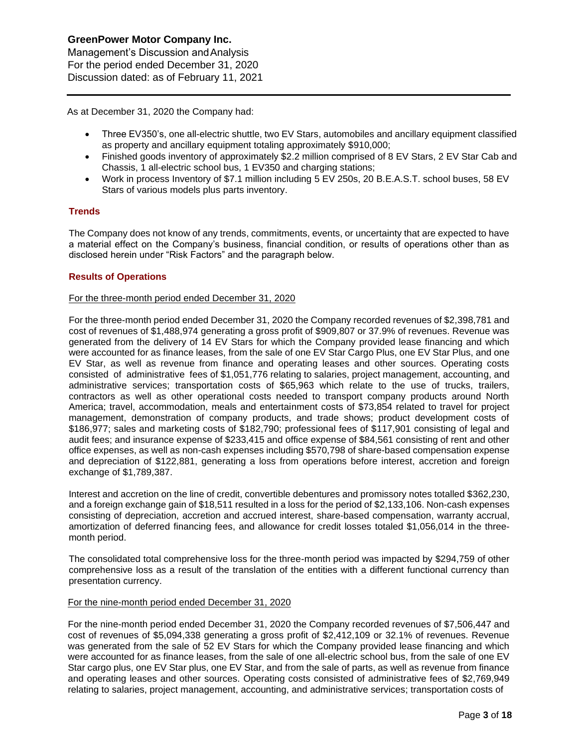Management's Discussion andAnalysis For the period ended December 31, 2020 Discussion dated: as of February 11, 2021

As at December 31, 2020 the Company had:

- Three EV350's, one all-electric shuttle, two EV Stars, automobiles and ancillary equipment classified as property and ancillary equipment totaling approximately \$910,000;
- Finished goods inventory of approximately \$2.2 million comprised of 8 EV Stars, 2 EV Star Cab and Chassis, 1 all-electric school bus, 1 EV350 and charging stations;
- Work in process Inventory of \$7.1 million including 5 EV 250s, 20 B.E.A.S.T. school buses, 58 EV Stars of various models plus parts inventory.

### **Trends**

, 2020

The Company does not know of any trends, commitments, events, or uncertainty that are expected to have a material effect on the Company's business, financial condition, or results of operations other than as disclosed herein under "Risk Factors" and the paragraph below.

### **Results of Operations**

### For the three-month period ended December 31, 2020

For the three-month period ended December 31, 2020 the Company recorded revenues of \$2,398,781 and cost of revenues of \$1,488,974 generating a gross profit of \$909,807 or 37.9% of revenues. Revenue was generated from the delivery of 14 EV Stars for which the Company provided lease financing and which were accounted for as finance leases, from the sale of one EV Star Cargo Plus, one EV Star Plus, and one EV Star, as well as revenue from finance and operating leases and other sources. Operating costs consisted of administrative fees of \$1,051,776 relating to salaries, project management, accounting, and administrative services; transportation costs of \$65,963 which relate to the use of trucks, trailers, contractors as well as other operational costs needed to transport company products around North America; travel, accommodation, meals and entertainment costs of \$73,854 related to travel for project management, demonstration of company products, and trade shows; product development costs of \$186,977; sales and marketing costs of \$182,790; professional fees of \$117,901 consisting of legal and audit fees; and insurance expense of \$233,415 and office expense of \$84,561 consisting of rent and other office expenses, as well as non-cash expenses including \$570,798 of share-based compensation expense and depreciation of \$122,881, generating a loss from operations before interest, accretion and foreign exchange of \$1,789,387.

Interest and accretion on the line of credit, convertible debentures and promissory notes totalled \$362,230, and a foreign exchange gain of \$18,511 resulted in a loss for the period of \$2,133,106. Non-cash expenses consisting of depreciation, accretion and accrued interest, share-based compensation, warranty accrual, amortization of deferred financing fees, and allowance for credit losses totaled \$1,056,014 in the threemonth period.

The consolidated total comprehensive loss for the three-month period was impacted by \$294,759 of other comprehensive loss as a result of the translation of the entities with a different functional currency than presentation currency.

### For the nine-month period ended December 31, 2020

For the nine-month period ended December 31, 2020 the Company recorded revenues of \$7,506,447 and cost of revenues of \$5,094,338 generating a gross profit of \$2,412,109 or 32.1% of revenues. Revenue was generated from the sale of 52 EV Stars for which the Company provided lease financing and which were accounted for as finance leases, from the sale of one all-electric school bus, from the sale of one EV Star cargo plus, one EV Star plus, one EV Star, and from the sale of parts, as well as revenue from finance and operating leases and other sources. Operating costs consisted of administrative fees of \$2,769,949 relating to salaries, project management, accounting, and administrative services; transportation costs of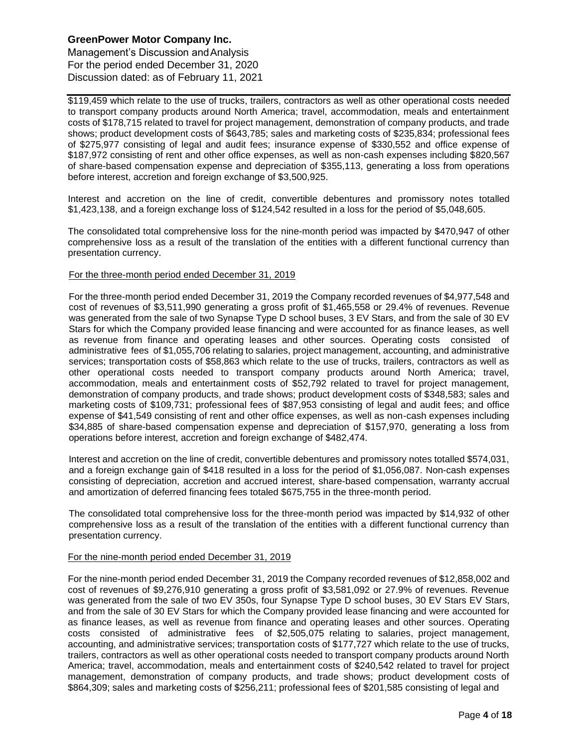Management's Discussion andAnalysis For the period ended December 31, 2020 Discussion dated: as of February 11, 2021

, 2020 \$119,459 which relate to the use of trucks, trailers, contractors as well as other operational costs needed to transport company products around North America; travel, accommodation, meals and entertainment costs of \$178,715 related to travel for project management, demonstration of company products, and trade shows; product development costs of \$643,785; sales and marketing costs of \$235,834; professional fees of \$275,977 consisting of legal and audit fees; insurance expense of \$330,552 and office expense of \$187,972 consisting of rent and other office expenses, as well as non-cash expenses including \$820,567 of share-based compensation expense and depreciation of \$355,113, generating a loss from operations before interest, accretion and foreign exchange of \$3,500,925.

Interest and accretion on the line of credit, convertible debentures and promissory notes totalled \$1,423,138, and a foreign exchange loss of \$124,542 resulted in a loss for the period of \$5,048,605.

The consolidated total comprehensive loss for the nine-month period was impacted by \$470,947 of other comprehensive loss as a result of the translation of the entities with a different functional currency than presentation currency.

### For the three-month period ended December 31, 2019

For the three-month period ended December 31, 2019 the Company recorded revenues of \$4,977,548 and cost of revenues of \$3,511,990 generating a gross profit of \$1,465,558 or 29.4% of revenues. Revenue was generated from the sale of two Synapse Type D school buses, 3 EV Stars, and from the sale of 30 EV Stars for which the Company provided lease financing and were accounted for as finance leases, as well as revenue from finance and operating leases and other sources. Operating costs consisted of administrative fees of \$1,055,706 relating to salaries, project management, accounting, and administrative services; transportation costs of \$58,863 which relate to the use of trucks, trailers, contractors as well as other operational costs needed to transport company products around North America; travel, accommodation, meals and entertainment costs of \$52,792 related to travel for project management, demonstration of company products, and trade shows; product development costs of \$348,583; sales and marketing costs of \$109,731; professional fees of \$87,953 consisting of legal and audit fees; and office expense of \$41,549 consisting of rent and other office expenses, as well as non-cash expenses including \$34,885 of share-based compensation expense and depreciation of \$157,970, generating a loss from operations before interest, accretion and foreign exchange of \$482,474.

Interest and accretion on the line of credit, convertible debentures and promissory notes totalled \$574,031, and a foreign exchange gain of \$418 resulted in a loss for the period of \$1,056,087. Non-cash expenses consisting of depreciation, accretion and accrued interest, share-based compensation, warranty accrual and amortization of deferred financing fees totaled \$675,755 in the three-month period.

The consolidated total comprehensive loss for the three-month period was impacted by \$14,932 of other comprehensive loss as a result of the translation of the entities with a different functional currency than presentation currency.

### For the nine-month period ended December 31, 2019

For the nine-month period ended December 31, 2019 the Company recorded revenues of \$12,858,002 and cost of revenues of \$9,276,910 generating a gross profit of \$3,581,092 or 27.9% of revenues. Revenue was generated from the sale of two EV 350s, four Synapse Type D school buses, 30 EV Stars EV Stars, and from the sale of 30 EV Stars for which the Company provided lease financing and were accounted for as finance leases, as well as revenue from finance and operating leases and other sources. Operating costs consisted of administrative fees of \$2,505,075 relating to salaries, project management, accounting, and administrative services; transportation costs of \$177,727 which relate to the use of trucks, trailers, contractors as well as other operational costs needed to transport company products around North America; travel, accommodation, meals and entertainment costs of \$240,542 related to travel for project management, demonstration of company products, and trade shows; product development costs of \$864,309; sales and marketing costs of \$256,211; professional fees of \$201,585 consisting of legal and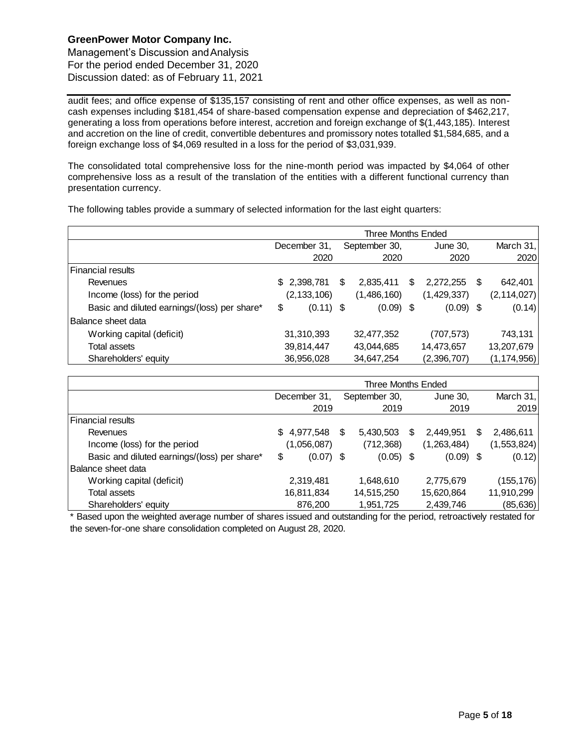Management's Discussion andAnalysis For the period ended December 31, 2020 Discussion dated: as of February 11, 2021

, 2020 audit fees; and office expense of \$135,157 consisting of rent and other office expenses, as well as noncash expenses including \$181,454 of share-based compensation expense and depreciation of \$462,217, generating a loss from operations before interest, accretion and foreign exchange of \$(1,443,185). Interest and accretion on the line of credit, convertible debentures and promissory notes totalled \$1,584,685, and a foreign exchange loss of \$4,069 resulted in a loss for the period of \$3,031,939.

The consolidated total comprehensive loss for the nine-month period was impacted by \$4,064 of other comprehensive loss as a result of the translation of the entities with a different functional currency than presentation currency.

The following tables provide a summary of selected information for the last eight quarters:

|                                              | <b>Three Months Ended</b>     |  |                  |             |          |             |           |               |
|----------------------------------------------|-------------------------------|--|------------------|-------------|----------|-------------|-----------|---------------|
|                                              | December 31,<br>September 30, |  |                  |             | June 30, |             | March 31, |               |
|                                              | 2020                          |  |                  | 2020        |          | 2020        |           | 2020          |
| <b>Financial results</b>                     |                               |  |                  |             |          |             |           |               |
| Revenues                                     | \$2,398,781                   |  | 2,835,411<br>\$. |             | S        | 2,272,255   | -S        | 642,401       |
| Income (loss) for the period                 | (2, 133, 106)                 |  | (1,486,160)      |             |          | (1,429,337) |           | (2, 114, 027) |
| Basic and diluted earnings/(loss) per share* | \$<br>$(0.11)$ \$             |  |                  | $(0.09)$ \$ |          | $(0.09)$ \$ |           | (0.14)        |
| lBalance sheet data                          |                               |  |                  |             |          |             |           |               |
| Working capital (deficit)                    | 31,310,393                    |  | 32,477,352       |             |          | (707, 573)  |           | 743,131       |
| Total assets                                 | 39,814,447                    |  | 43,044,685       |             |          | 14,473,657  |           | 13,207,679    |
| Shareholders' equity                         | 36,956,028                    |  | 34,647,254       |             |          | (2,396,707) |           | (1, 174, 956) |

|                                              | Three Months Ended            |              |             |          |               |           |             |  |  |
|----------------------------------------------|-------------------------------|--------------|-------------|----------|---------------|-----------|-------------|--|--|
|                                              | December 31,<br>September 30, |              |             | June 30, |               | March 31, |             |  |  |
|                                              |                               | 2019<br>2019 |             |          | 2019          | 2019      |             |  |  |
| <b>Financial results</b>                     |                               |              |             |          |               |           |             |  |  |
| Revenues                                     | \$4,977,548                   | - \$         | 5,430,503   | S        | 2,449,951     | S         | 2,486,611   |  |  |
| Income (loss) for the period                 | (1,056,087)                   |              | (712, 368)  |          | (1, 263, 484) |           | (1,553,824) |  |  |
| Basic and diluted earnings/(loss) per share* | \$<br>$(0.07)$ \$             |              | $(0.05)$ \$ |          | $(0.09)$ \$   |           | (0.12)      |  |  |
| lBalance sheet data                          |                               |              |             |          |               |           |             |  |  |
| Working capital (deficit)                    | 2,319,481                     |              | 1,648,610   |          | 2,775,679     |           | (155, 176)  |  |  |
| Total assets                                 | 16,811,834                    |              | 14,515,250  |          | 15,620,864    |           | 11,910,299  |  |  |
| Shareholders' equity                         | 876,200                       |              | 1,951,725   |          | 2,439,746     |           | (85, 636)   |  |  |

\* Based upon the weighted average number of shares issued and outstanding for the period, retroactively restated for the seven-for-one share consolidation completed on August 28, 2020.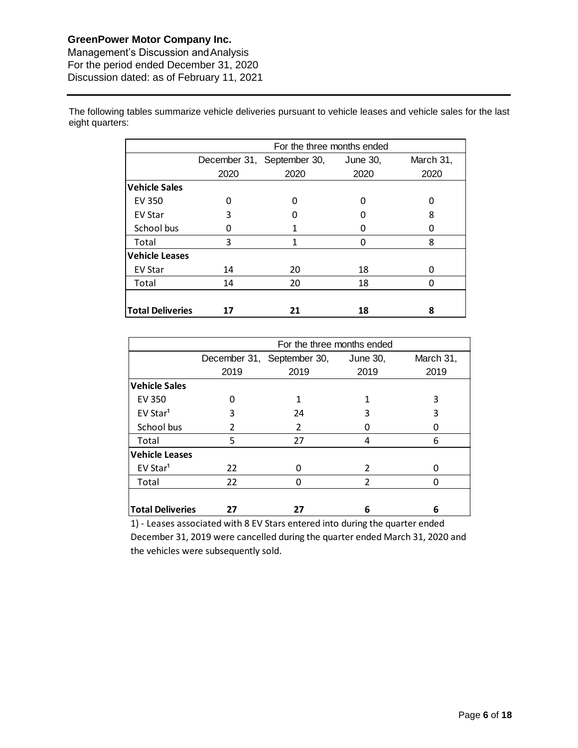, 2020

Management's Discussion andAnalysis For the period ended December 31, 2020 Discussion dated: as of February 11, 2021

The following tables summarize vehicle deliveries pursuant to vehicle leases and vehicle sales for the last eight quarters:

|                         | For the three months ended |                            |            |           |  |  |  |  |  |  |
|-------------------------|----------------------------|----------------------------|------------|-----------|--|--|--|--|--|--|
|                         |                            | December 31, September 30, | June $301$ | March 31, |  |  |  |  |  |  |
|                         | 2020                       | 2020                       | 2020       | 2020      |  |  |  |  |  |  |
| <b>Vehicle Sales</b>    |                            |                            |            |           |  |  |  |  |  |  |
| <b>EV 350</b>           | 0                          | n                          |            |           |  |  |  |  |  |  |
| EV Star                 | 3                          |                            |            | 8         |  |  |  |  |  |  |
| School bus              | 0                          |                            |            |           |  |  |  |  |  |  |
| Total                   | 3                          |                            |            | 8         |  |  |  |  |  |  |
| <b>Vehicle Leases</b>   |                            |                            |            |           |  |  |  |  |  |  |
| <b>EV Star</b>          | 14                         | 20                         | 18         | 0         |  |  |  |  |  |  |
| Total                   | 14                         | 20                         | 18         |           |  |  |  |  |  |  |
|                         |                            |                            |            |           |  |  |  |  |  |  |
| <b>Total Deliveries</b> | 17                         | 21                         | 18         | Զ         |  |  |  |  |  |  |

|                         | For the three months ended |                            |                |           |  |  |  |  |  |  |
|-------------------------|----------------------------|----------------------------|----------------|-----------|--|--|--|--|--|--|
|                         |                            | December 31, September 30, | June 30,       | March 31, |  |  |  |  |  |  |
|                         | 2019                       | 2019                       | 2019           | 2019      |  |  |  |  |  |  |
| Vehicle Sales           |                            |                            |                |           |  |  |  |  |  |  |
| <b>EV 350</b>           | O                          |                            |                | 3         |  |  |  |  |  |  |
| EV Star <sup>1</sup>    | 3                          | 24                         |                | 3         |  |  |  |  |  |  |
| School bus              | $\mathfrak z$              | 2                          |                |           |  |  |  |  |  |  |
| Total                   | 5                          | 27                         | 4              | 6         |  |  |  |  |  |  |
| Vehicle Leases          |                            |                            |                |           |  |  |  |  |  |  |
| EV Star <sup>1</sup>    | 22                         |                            | $\mathcal{P}$  |           |  |  |  |  |  |  |
| Total                   | 22                         |                            | $\mathfrak{p}$ |           |  |  |  |  |  |  |
|                         |                            |                            |                |           |  |  |  |  |  |  |
| <b>Total Deliveries</b> | 27                         | 27                         | 6              | 6         |  |  |  |  |  |  |

1) - Leases associated with 8 EV Stars entered into during the quarter ended December 31, 2019 were cancelled during the quarter ended March 31, 2020 and the vehicles were subsequently sold.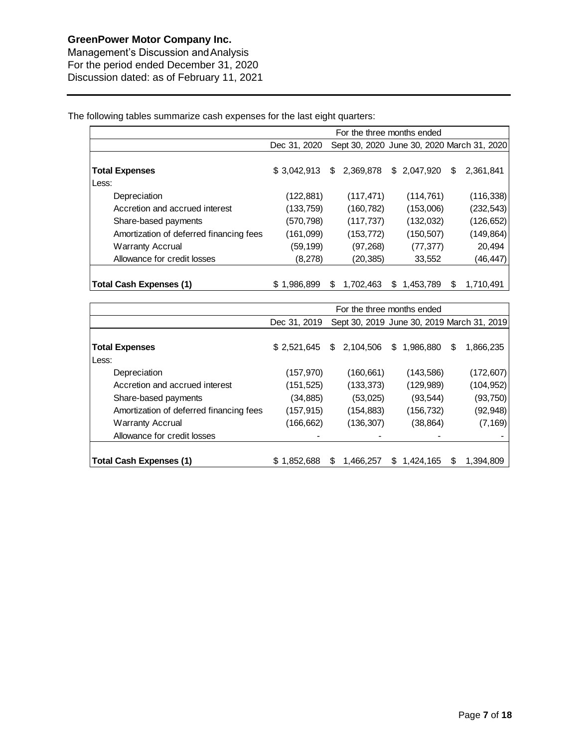, 2020

Management's Discussion andAnalysis For the period ended December 31, 2020 Discussion dated: as of February 11, 2021

The following tables summarize cash expenses for the last eight quarters:

|                                         | For the three months ended |   |                                            |                  |          |     |            |  |  |
|-----------------------------------------|----------------------------|---|--------------------------------------------|------------------|----------|-----|------------|--|--|
|                                         | Dec 31, 2020               |   | Sept 30, 2020 June 30, 2020 March 31, 2020 |                  |          |     |            |  |  |
|                                         |                            |   |                                            |                  |          |     |            |  |  |
| <b>Total Expenses</b>                   | \$3.042.913                |   | \$2,369,878                                | \$ 2.047.920     |          | S   | 2.361.841  |  |  |
| Less:                                   |                            |   |                                            |                  |          |     |            |  |  |
| Depreciation                            | (122, 881)                 |   | (117, 471)                                 | (114, 761)       |          |     | (116, 338) |  |  |
| Accretion and accrued interest          | (133, 759)                 |   | (160, 782)                                 | (153,006)        |          |     | (232, 543) |  |  |
| Share-based payments                    | (570,798)                  |   | (117, 737)                                 | (132, 032)       |          |     | (126, 652) |  |  |
| Amortization of deferred financing fees | (161,099)                  |   | (153, 772)                                 | (150, 507)       |          |     | (149, 864) |  |  |
| <b>Warranty Accrual</b>                 | (59,199)                   |   | (97, 268)                                  |                  | (77,377) |     | 20,494     |  |  |
| Allowance for credit losses             | (8,278)                    |   | (20,385)                                   |                  | 33,552   |     | (46, 447)  |  |  |
|                                         |                            |   |                                            |                  |          |     |            |  |  |
| <b>Total Cash Expenses (1)</b>          | \$1,986,899                | S | 1.702.463                                  | \$.<br>1.453.789 |          | \$. | 1.710.491  |  |  |

|                                         | For the three months ended |   |             |                  |  |   |                                            |  |  |
|-----------------------------------------|----------------------------|---|-------------|------------------|--|---|--------------------------------------------|--|--|
|                                         | Dec 31, 2019               |   |             |                  |  |   | Sept 30, 2019 June 30, 2019 March 31, 2019 |  |  |
|                                         |                            |   |             |                  |  |   |                                            |  |  |
| <b>Total Expenses</b>                   | \$2.521.645                |   | \$2,104,506 | \$1,986,880      |  | S | 1,866,235                                  |  |  |
| Less:                                   |                            |   |             |                  |  |   |                                            |  |  |
| Depreciation                            | (157, 970)                 |   | (160, 661)  | (143, 586)       |  |   | (172, 607)                                 |  |  |
| Accretion and accrued interest          | (151, 525)                 |   | (133, 373)  | (129, 989)       |  |   | (104, 952)                                 |  |  |
| Share-based payments                    | (34, 885)                  |   | (53,025)    | (93, 544)        |  |   | (93, 750)                                  |  |  |
| Amortization of deferred financing fees | (157, 915)                 |   | (154, 883)  | (156,732)        |  |   | (92,948)                                   |  |  |
| <b>Warranty Accrual</b>                 | (166, 662)                 |   | (136, 307)  | (38,864)         |  |   | (7, 169)                                   |  |  |
| Allowance for credit losses             |                            |   |             |                  |  |   |                                            |  |  |
|                                         |                            |   |             |                  |  |   |                                            |  |  |
| <b>Total Cash Expenses (1)</b>          | \$1,852,688                | S | 1,466,257   | 1,424,165<br>\$. |  |   | 1,394,809                                  |  |  |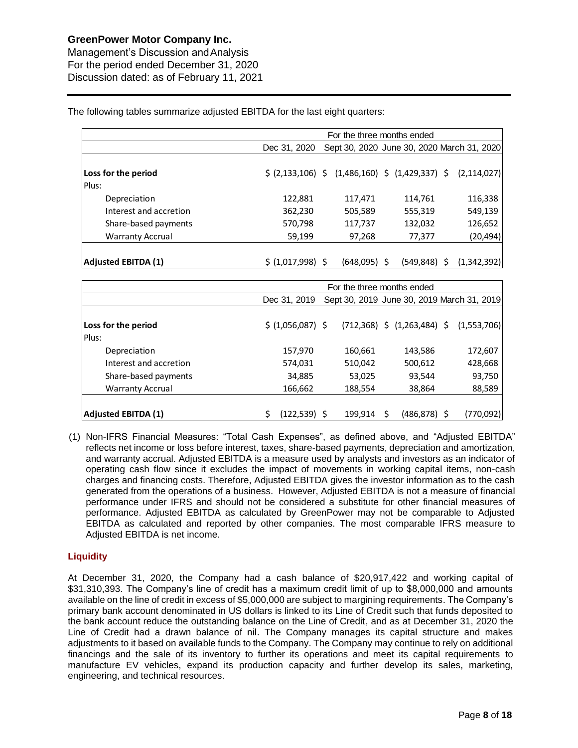, 2020

Management's Discussion andAnalysis For the period ended December 31, 2020 Discussion dated: as of February 11, 2021

The following tables summarize adjusted EBITDA for the last eight quarters:

|                         | For the three months ended |              |                 |                                                                                                         |  |  |  |  |  |
|-------------------------|----------------------------|--------------|-----------------|---------------------------------------------------------------------------------------------------------|--|--|--|--|--|
|                         | Dec 31, 2020               |              |                 | Sept 30, 2020 June 30, 2020 March 31, 2020                                                              |  |  |  |  |  |
|                         |                            |              |                 |                                                                                                         |  |  |  |  |  |
| Loss for the period     |                            |              |                 | $\frac{1}{2}$ (2,133,106) $\frac{1}{2}$ (1,486,160) $\frac{1}{2}$ (1,429,337) $\frac{1}{2}$ (2,114,027) |  |  |  |  |  |
| Plus:                   |                            |              |                 |                                                                                                         |  |  |  |  |  |
| Depreciation            | 122,881                    | 117,471      | 114.761         | 116,338                                                                                                 |  |  |  |  |  |
| Interest and accretion  | 362,230                    | 505,589      | 555,319         | 549,139                                                                                                 |  |  |  |  |  |
| Share-based payments    | 570,798                    | 117,737      | 132,032         | 126,652                                                                                                 |  |  |  |  |  |
| <b>Warranty Accrual</b> | 59,199                     | 97,268       | 77,377          | (20, 494)                                                                                               |  |  |  |  |  |
|                         |                            |              |                 |                                                                                                         |  |  |  |  |  |
| Adjusted EBITDA (1)     | \$(1,017,998)\$            | (648,095) \$ | $(549, 848)$ \$ | (1,342,392)                                                                                             |  |  |  |  |  |

|                            | For the three months ended |         |                                 |                                            |  |  |  |  |  |  |
|----------------------------|----------------------------|---------|---------------------------------|--------------------------------------------|--|--|--|--|--|--|
|                            | Dec 31, 2019               |         |                                 | Sept 30, 2019 June 30, 2019 March 31, 2019 |  |  |  |  |  |  |
| Loss for the period        | \$ (1,056,087) \$          |         | $(712,368)$ \$ $(1,263,484)$ \$ | (1,553,706)                                |  |  |  |  |  |  |
| Plus:                      |                            |         |                                 |                                            |  |  |  |  |  |  |
| Depreciation               | 157,970                    | 160,661 | 143,586                         | 172,607                                    |  |  |  |  |  |  |
| Interest and accretion     | 574,031                    | 510,042 | 500,612                         | 428,668                                    |  |  |  |  |  |  |
| Share-based payments       | 34,885                     | 53,025  | 93,544                          | 93,750                                     |  |  |  |  |  |  |
| <b>Warranty Accrual</b>    | 166,662                    | 188,554 | 38,864                          | 88,589                                     |  |  |  |  |  |  |
|                            |                            |         |                                 |                                            |  |  |  |  |  |  |
| <b>Adjusted EBITDA (1)</b> | $(122, 539)$ \$            | 199,914 | (486,878) \$<br>Ś               | (770,092)                                  |  |  |  |  |  |  |

(1) Non-IFRS Financial Measures: "Total Cash Expenses", as defined above, and "Adjusted EBITDA" reflects net income or loss before interest, taxes, share-based payments, depreciation and amortization, and warranty accrual. Adjusted EBITDA is a measure used by analysts and investors as an indicator of operating cash flow since it excludes the impact of movements in working capital items, non-cash charges and financing costs. Therefore, Adjusted EBITDA gives the investor information as to the cash generated from the operations of a business. However, Adjusted EBITDA is not a measure of financial performance under IFRS and should not be considered a substitute for other financial measures of performance. Adjusted EBITDA as calculated by GreenPower may not be comparable to Adjusted EBITDA as calculated and reported by other companies. The most comparable IFRS measure to Adjusted EBITDA is net income.

### **Liquidity**

At December 31, 2020, the Company had a cash balance of \$20,917,422 and working capital of \$31,310,393. The Company's line of credit has a maximum credit limit of up to \$8,000,000 and amounts available on the line of credit in excess of \$5,000,000 are subject to margining requirements. The Company's primary bank account denominated in US dollars is linked to its Line of Credit such that funds deposited to the bank account reduce the outstanding balance on the Line of Credit, and as at December 31, 2020 the Line of Credit had a drawn balance of nil. The Company manages its capital structure and makes adjustments to it based on available funds to the Company. The Company may continue to rely on additional financings and the sale of its inventory to further its operations and meet its capital requirements to manufacture EV vehicles, expand its production capacity and further develop its sales, marketing, engineering, and technical resources.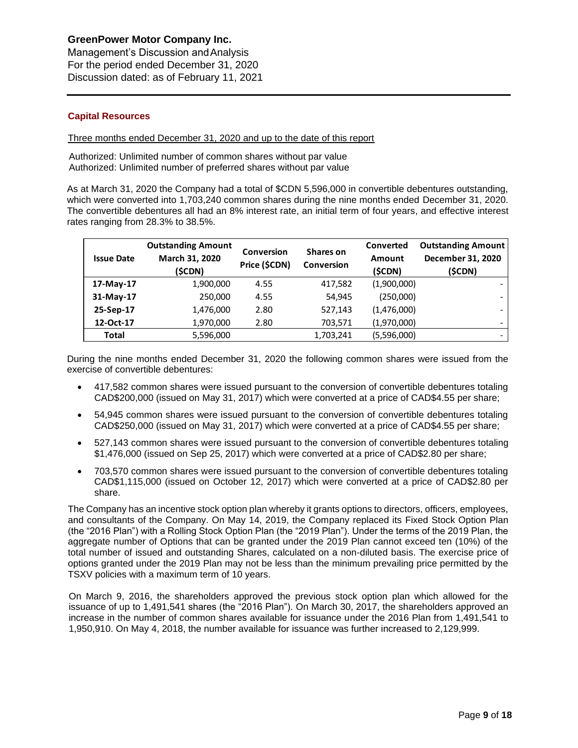Management's Discussion andAnalysis For the period ended December 31, 2020 Discussion dated: as of February 11, 2021

### **Capital Resources**

, 2020

Three months ended December 31, 2020 and up to the date of this report

Authorized: Unlimited number of common shares without par value Authorized: Unlimited number of preferred shares without par value

As at March 31, 2020 the Company had a total of \$CDN 5,596,000 in convertible debentures outstanding, which were converted into 1,703,240 common shares during the nine months ended December 31, 2020. The convertible debentures all had an 8% interest rate, an initial term of four years, and effective interest rates ranging from 28.3% to 38.5%.

| <b>Issue Date</b> | <b>Outstanding Amount</b><br>March 31, 2020<br>(\$CDN) | <b>Conversion</b><br>Price (\$CDN) | <b>Shares on</b><br>Conversion | Converted<br>Amount<br>(\$CDN) | <b>Outstanding Amount</b><br>December 31, 2020<br>(\$CDN) |
|-------------------|--------------------------------------------------------|------------------------------------|--------------------------------|--------------------------------|-----------------------------------------------------------|
| 17-May-17         | 1,900,000                                              | 4.55                               | 417,582                        | (1,900,000)                    |                                                           |
| 31-May-17         | 250,000                                                | 4.55                               | 54,945                         | (250,000)                      |                                                           |
| 25-Sep-17         | 1,476,000                                              | 2.80                               | 527,143                        | (1,476,000)                    |                                                           |
| 12-Oct-17         | 1,970,000                                              | 2.80                               | 703,571                        | (1,970,000)                    |                                                           |
| Total             | 5,596,000                                              |                                    | 1,703,241                      | (5,596,000)                    |                                                           |

During the nine months ended December 31, 2020 the following common shares were issued from the exercise of convertible debentures:

- 417,582 common shares were issued pursuant to the conversion of convertible debentures totaling CAD\$200,000 (issued on May 31, 2017) which were converted at a price of CAD\$4.55 per share;
- 54,945 common shares were issued pursuant to the conversion of convertible debentures totaling CAD\$250,000 (issued on May 31, 2017) which were converted at a price of CAD\$4.55 per share;
- 527,143 common shares were issued pursuant to the conversion of convertible debentures totaling \$1,476,000 (issued on Sep 25, 2017) which were converted at a price of CAD\$2.80 per share;
- 703,570 common shares were issued pursuant to the conversion of convertible debentures totaling CAD\$1,115,000 (issued on October 12, 2017) which were converted at a price of CAD\$2.80 per share.

The Company has an incentive stock option plan whereby it grants options to directors, officers, employees, and consultants of the Company. On May 14, 2019, the Company replaced its Fixed Stock Option Plan (the "2016 Plan") with a Rolling Stock Option Plan (the "2019 Plan"). Under the terms of the 2019 Plan, the aggregate number of Options that can be granted under the 2019 Plan cannot exceed ten (10%) of the total number of issued and outstanding Shares, calculated on a non-diluted basis. The exercise price of options granted under the 2019 Plan may not be less than the minimum prevailing price permitted by the TSXV policies with a maximum term of 10 years.

On March 9, 2016, the shareholders approved the previous stock option plan which allowed for the issuance of up to 1,491,541 shares (the "2016 Plan"). On March 30, 2017, the shareholders approved an increase in the number of common shares available for issuance under the 2016 Plan from 1,491,541 to 1,950,910. On May 4, 2018, the number available for issuance was further increased to 2,129,999.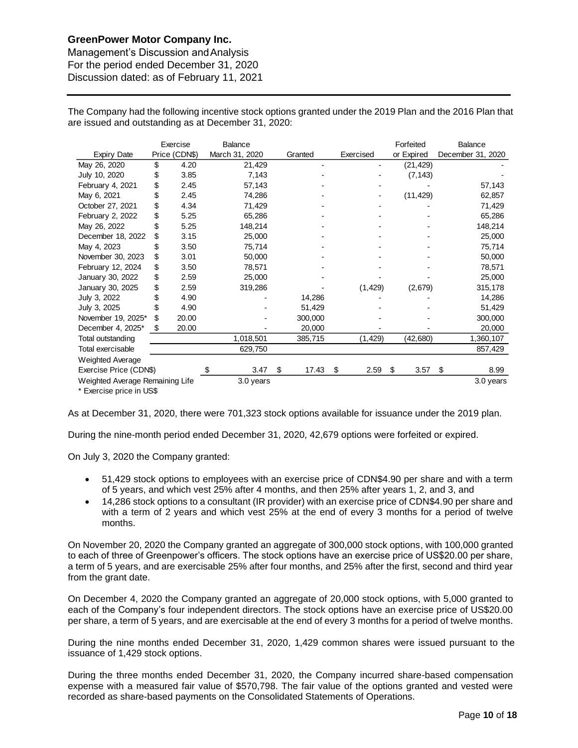, 2020

Management's Discussion andAnalysis For the period ended December 31, 2020 Discussion dated: as of February 11, 2021

The Company had the following incentive stock options granted under the 2019 Plan and the 2016 Plan that are issued and outstanding as at December 31, 2020:

|                                 |                          | Exercise      | Balance        |    |         |    |           |    | Forfeited  | <b>Balance</b>    |
|---------------------------------|--------------------------|---------------|----------------|----|---------|----|-----------|----|------------|-------------------|
| <b>Expiry Date</b>              |                          | Price (CDN\$) | March 31, 2020 |    | Granted |    | Exercised |    | or Expired | December 31, 2020 |
| May 26, 2020                    | \$                       | 4.20          | 21,429         |    |         |    |           |    | (21, 429)  |                   |
| July 10, 2020                   | \$                       | 3.85          | 7,143          |    |         |    |           |    | (7, 143)   |                   |
| February 4, 2021                | \$                       | 2.45          | 57,143         |    |         |    |           |    |            | 57,143            |
| May 6, 2021                     | \$                       | 2.45          | 74,286         |    |         |    |           |    | (11, 429)  | 62,857            |
| October 27, 2021                | \$                       | 4.34          | 71,429         |    |         |    |           |    |            | 71,429            |
| February 2, 2022                | \$                       | 5.25          | 65,286         |    |         |    |           |    |            | 65,286            |
| May 26, 2022                    | \$                       | 5.25          | 148,214        |    |         |    |           |    |            | 148,214           |
| December 18, 2022               | \$                       | 3.15          | 25,000         |    |         |    |           |    |            | 25,000            |
| May 4, 2023                     | \$                       | 3.50          | 75,714         |    |         |    |           |    |            | 75,714            |
| November 30, 2023               | \$                       | 3.01          | 50,000         |    |         |    |           |    |            | 50,000            |
| February 12, 2024               | \$                       | 3.50          | 78,571         |    |         |    |           |    |            | 78,571            |
| January 30, 2022                | \$                       | 2.59          | 25,000         |    |         |    |           |    |            | 25,000            |
| January 30, 2025                | \$                       | 2.59          | 319,286        |    |         |    | (1, 429)  |    | (2,679)    | 315,178           |
| July 3, 2022                    | \$                       | 4.90          |                |    | 14,286  |    |           |    |            | 14,286            |
| July 3, 2025                    | \$                       | 4.90          |                |    | 51,429  |    |           |    |            | 51,429            |
| November 19, 2025*              | \$                       | 20.00         |                |    | 300,000 |    |           |    |            | 300,000           |
| December 4, 2025*               | \$                       | 20.00         |                |    | 20,000  |    |           |    |            | 20,000            |
| Total outstanding               |                          |               | 1,018,501      |    | 385,715 |    | (1, 429)  |    | (42,680)   | 1,360,107         |
| Total exercisable               |                          |               | 629,750        |    |         |    |           |    |            | 857,429           |
| Weighted Average                |                          |               |                |    |         |    |           |    |            |                   |
| Exercise Price (CDN\$)          |                          |               | 3.47<br>S      | \$ | 17.43   | \$ | 2.59      | \$ | 3.57       | \$<br>8.99        |
| Weighted Average Remaining Life |                          |               | 3.0 years      |    |         |    |           |    |            | 3.0 years         |
|                                 | * Exercise price in US\$ |               |                |    |         |    |           |    |            |                   |

As at December 31, 2020, there were 701,323 stock options available for issuance under the 2019 plan.

During the nine-month period ended December 31, 2020, 42,679 options were forfeited or expired.

On July 3, 2020 the Company granted:

- 51,429 stock options to employees with an exercise price of CDN\$4.90 per share and with a term of 5 years, and which vest 25% after 4 months, and then 25% after years 1, 2, and 3, and
- 14,286 stock options to a consultant (IR provider) with an exercise price of CDN\$4.90 per share and with a term of 2 years and which vest 25% at the end of every 3 months for a period of twelve months.

On November 20, 2020 the Company granted an aggregate of 300,000 stock options, with 100,000 granted to each of three of Greenpower's officers. The stock options have an exercise price of US\$20.00 per share, a term of 5 years, and are exercisable 25% after four months, and 25% after the first, second and third year from the grant date.

On December 4, 2020 the Company granted an aggregate of 20,000 stock options, with 5,000 granted to each of the Company's four independent directors. The stock options have an exercise price of US\$20.00 per share, a term of 5 years, and are exercisable at the end of every 3 months for a period of twelve months.

During the nine months ended December 31, 2020, 1,429 common shares were issued pursuant to the issuance of 1,429 stock options.

During the three months ended December 31, 2020, the Company incurred share-based compensation expense with a measured fair value of \$570,798. The fair value of the options granted and vested were recorded as share-based payments on the Consolidated Statements of Operations.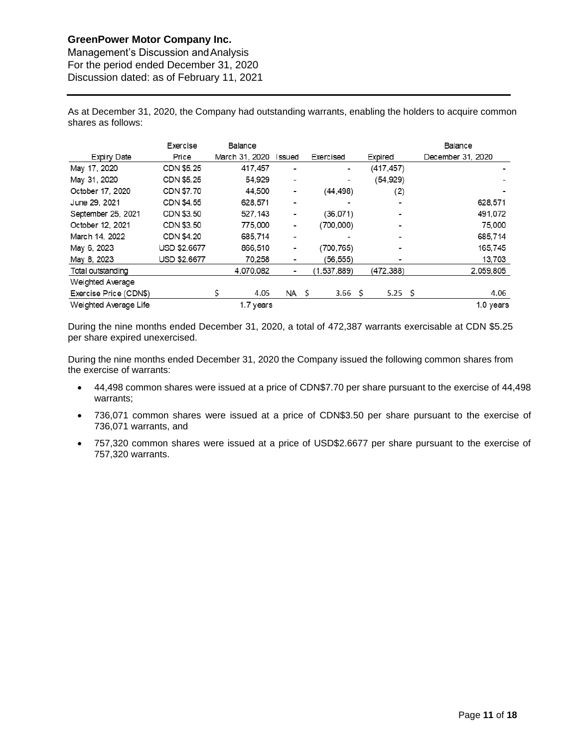, 2020

Management's Discussion andAnalysis For the period ended December 31, 2020 Discussion dated: as of February 11, 2021

As at December 31, 2020, the Company had outstanding warrants, enabling the holders to acquire common shares as follows:

|                        | Exercise            | Balance        |                |                   |            | Balance           |
|------------------------|---------------------|----------------|----------------|-------------------|------------|-------------------|
| <b>Expiry Date</b>     | Price               | March 31, 2020 | <b>Issued</b>  | Exercised         | Expired    | December 31, 2020 |
| May 17, 2020           | CDN \$5.25          | 417,457        |                | ۰                 | (417, 457) |                   |
| May 31, 2020           | CDN \$5.25          | 54.929         | ٠              |                   | (54.929)   |                   |
| October 17, 2020       | CDN \$7.70          | 44.500         |                | (44, 498)         | (2)        |                   |
| June 29, 2021          | CDN \$4.55          | 628,571        | $\blacksquare$ |                   |            | 628,571           |
| September 25, 2021     | CDN \$3.50          | 527, 143       | ٠              | (36,071)          |            | 491,072           |
| October 12, 2021       | CDN \$3.50          | 775,000        | ٠              | (700,000)         |            | 75,000            |
| March 14, 2022         | CDN \$4.20          | 685.714        | ۰              | ۰                 |            | 685,714           |
| May 6, 2023            | <b>USD \$2.6677</b> | 866,510        | ۰              | (700.765)         |            | 165,745           |
| May 8, 2023            | USD \$2.6677        | 70,258         | ۰              | (56,555)          |            | 13,703            |
| Total outstanding      |                     | 4,070,082      | ۰              | (1, 537, 889)     | (472, 388) | 2,059,805         |
| Weighted Average       |                     |                |                |                   |            |                   |
| Exercise Price (CDN\$) |                     | \$<br>4.05     | NA \$          | 3.66 <sup>5</sup> | 5.25 \$    | 4.06              |
| Weighted Average Life  |                     | 1.7 years      |                |                   |            | 1.0 years         |

During the nine months ended December 31, 2020, a total of 472,387 warrants exercisable at CDN \$5.25 per share expired unexercised.

During the nine months ended December 31, 2020 the Company issued the following common shares from the exercise of warrants:

- 44,498 common shares were issued at a price of CDN\$7.70 per share pursuant to the exercise of 44,498 warrants;
- 736,071 common shares were issued at a price of CDN\$3.50 per share pursuant to the exercise of 736,071 warrants, and
- 757,320 common shares were issued at a price of USD\$2.6677 per share pursuant to the exercise of 757,320 warrants.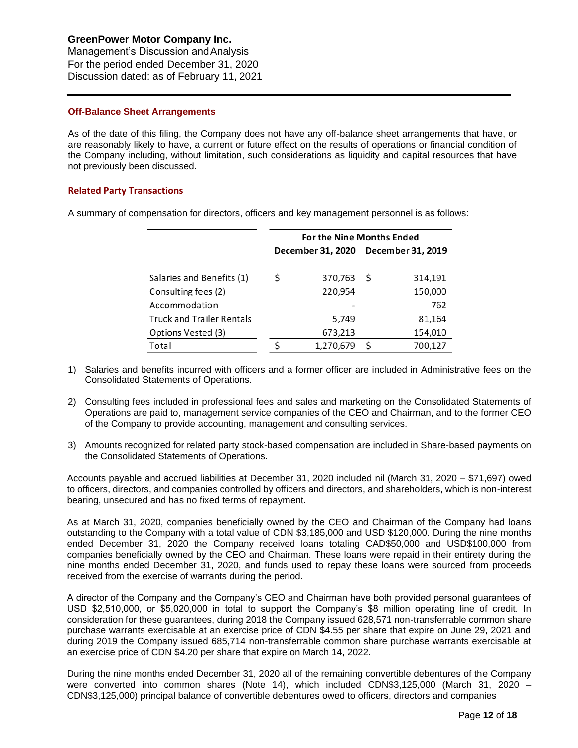Management's Discussion andAnalysis For the period ended December 31, 2020 Discussion dated: as of February 11, 2021

### **Off-Balance Sheet Arrangements**

As of the date of this filing, the Company does not have any off-balance sheet arrangements that have, or are reasonably likely to have, a current or future effect on the results of operations or financial condition of the Company including, without limitation, such considerations as liquidity and capital resources that have not previously been discussed.

### **Related Party Transactions**

A summary of compensation for directors, officers and key management personnel is as follows:

|                                  | <b>For the Nine Months Ended</b>    |           |   |         |  |  |  |  |
|----------------------------------|-------------------------------------|-----------|---|---------|--|--|--|--|
|                                  | December 31, 2020 December 31, 2019 |           |   |         |  |  |  |  |
| Salaries and Benefits (1)        | S                                   | 370,763   | S | 314,191 |  |  |  |  |
| Consulting fees (2)              |                                     | 220,954   |   | 150,000 |  |  |  |  |
| Accommodation                    |                                     |           |   | 762     |  |  |  |  |
| <b>Truck and Trailer Rentals</b> |                                     | 5,749     |   | 81,164  |  |  |  |  |
| Options Vested (3)               |                                     | 673,213   |   | 154,010 |  |  |  |  |
| Total                            |                                     | 1,270,679 | Ŝ | 700,127 |  |  |  |  |

- 1) Salaries and benefits incurred with officers and a former officer are included in Administrative fees on the Consolidated Statements of Operations.
- 2) Consulting fees included in professional fees and sales and marketing on the Consolidated Statements of Operations are paid to, management service companies of the CEO and Chairman, and to the former CEO of the Company to provide accounting, management and consulting services.
- 3) Amounts recognized for related party stock-based compensation are included in Share-based payments on the Consolidated Statements of Operations.

Accounts payable and accrued liabilities at December 31, 2020 included nil (March 31, 2020 – \$71,697) owed to officers, directors, and companies controlled by officers and directors, and shareholders, which is non-interest bearing, unsecured and has no fixed terms of repayment.

As at March 31, 2020, companies beneficially owned by the CEO and Chairman of the Company had loans outstanding to the Company with a total value of CDN \$3,185,000 and USD \$120,000. During the nine months ended December 31, 2020 the Company received loans totaling CAD\$50,000 and USD\$100,000 from companies beneficially owned by the CEO and Chairman. These loans were repaid in their entirety during the nine months ended December 31, 2020, and funds used to repay these loans were sourced from proceeds received from the exercise of warrants during the period.

A director of the Company and the Company's CEO and Chairman have both provided personal guarantees of USD \$2,510,000, or \$5,020,000 in total to support the Company's \$8 million operating line of credit. In consideration for these guarantees, during 2018 the Company issued 628,571 non-transferrable common share purchase warrants exercisable at an exercise price of CDN \$4.55 per share that expire on June 29, 2021 and during 2019 the Company issued 685,714 non-transferrable common share purchase warrants exercisable at an exercise price of CDN \$4.20 per share that expire on March 14, 2022.

During the nine months ended December 31, 2020 all of the remaining convertible debentures of the Company were converted into common shares (Note 14), which included CDN\$3,125,000 (March 31, 2020 – CDN\$3,125,000) principal balance of convertible debentures owed to officers, directors and companies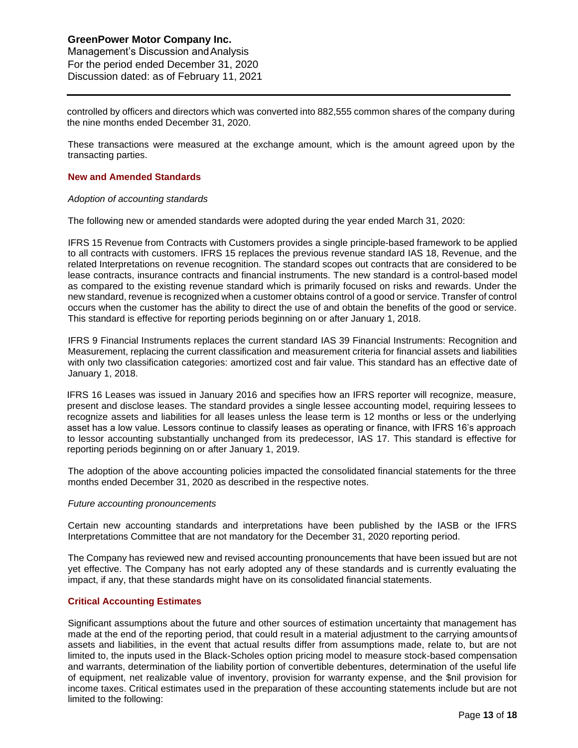Management's Discussion andAnalysis For the period ended December 31, 2020 Discussion dated: as of February 11, 2021

controlled by officers and directors which was converted into 882,555 common shares of the company during the nine months ended December 31, 2020.

These transactions were measured at the exchange amount, which is the amount agreed upon by the transacting parties.

### **New and Amended Standards**

#### *Adoption of accounting standards*

The following new or amended standards were adopted during the year ended March 31, 2020:

IFRS 15 Revenue from Contracts with Customers provides a single principle-based framework to be applied to all contracts with customers. IFRS 15 replaces the previous revenue standard IAS 18, Revenue, and the related Interpretations on revenue recognition. The standard scopes out contracts that are considered to be lease contracts, insurance contracts and financial instruments. The new standard is a control-based model as compared to the existing revenue standard which is primarily focused on risks and rewards. Under the new standard, revenue is recognized when a customer obtains control of a good or service. Transfer of control occurs when the customer has the ability to direct the use of and obtain the benefits of the good or service. This standard is effective for reporting periods beginning on or after January 1, 2018.

IFRS 9 Financial Instruments replaces the current standard IAS 39 Financial Instruments: Recognition and Measurement, replacing the current classification and measurement criteria for financial assets and liabilities with only two classification categories: amortized cost and fair value. This standard has an effective date of January 1, 2018.

IFRS 16 Leases was issued in January 2016 and specifies how an IFRS reporter will recognize, measure, present and disclose leases. The standard provides a single lessee accounting model, requiring lessees to recognize assets and liabilities for all leases unless the lease term is 12 months or less or the underlying asset has a low value. Lessors continue to classify leases as operating or finance, with IFRS 16's approach to lessor accounting substantially unchanged from its predecessor, IAS 17. This standard is effective for reporting periods beginning on or after January 1, 2019.

The adoption of the above accounting policies impacted the consolidated financial statements for the three months ended December 31, 2020 as described in the respective notes.

#### *Future accounting pronouncements*

Certain new accounting standards and interpretations have been published by the IASB or the IFRS Interpretations Committee that are not mandatory for the December 31, 2020 reporting period.

The Company has reviewed new and revised accounting pronouncements that have been issued but are not yet effective. The Company has not early adopted any of these standards and is currently evaluating the impact, if any, that these standards might have on its consolidated financial statements.

### **Critical Accounting Estimates**

Significant assumptions about the future and other sources of estimation uncertainty that management has made at the end of the reporting period, that could result in a material adjustment to the carrying amountsof assets and liabilities, in the event that actual results differ from assumptions made, relate to, but are not limited to, the inputs used in the Black-Scholes option pricing model to measure stock-based compensation and warrants, determination of the liability portion of convertible debentures, determination of the useful life of equipment, net realizable value of inventory, provision for warranty expense, and the \$nil provision for income taxes. Critical estimates used in the preparation of these accounting statements include but are not limited to the following: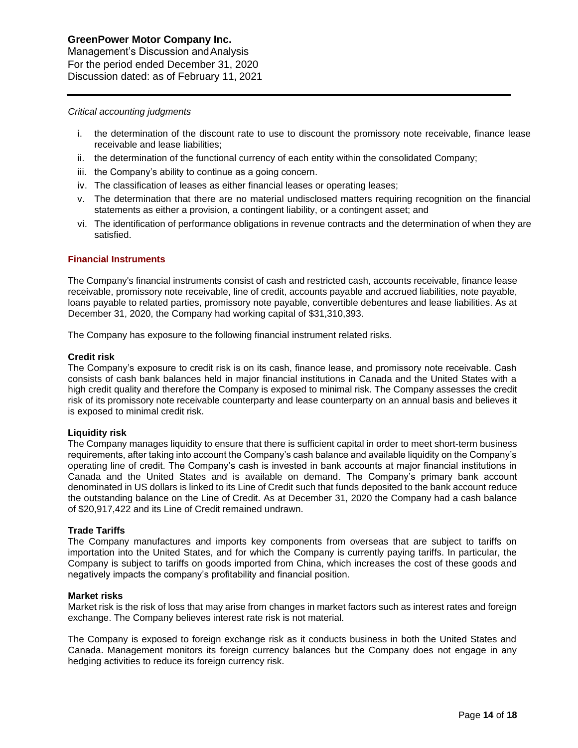Management's Discussion andAnalysis For the period ended December 31, 2020 Discussion dated: as of February 11, 2021

### *Critical accounting judgments*

- i. the determination of the discount rate to use to discount the promissory note receivable, finance lease receivable and lease liabilities;
- ii. the determination of the functional currency of each entity within the consolidated Company;
- iii. the Company's ability to continue as a going concern.
- iv. The classification of leases as either financial leases or operating leases;
- v. The determination that there are no material undisclosed matters requiring recognition on the financial statements as either a provision, a contingent liability, or a contingent asset; and
- vi. The identification of performance obligations in revenue contracts and the determination of when they are satisfied.

### **Financial Instruments**

The Company's financial instruments consist of cash and restricted cash, accounts receivable, finance lease receivable, promissory note receivable, line of credit, accounts payable and accrued liabilities, note payable, loans payable to related parties, promissory note payable, convertible debentures and lease liabilities. As at December 31, 2020, the Company had working capital of \$31,310,393.

The Company has exposure to the following financial instrument related risks.

### **Credit risk**

The Company's exposure to credit risk is on its cash, finance lease, and promissory note receivable. Cash consists of cash bank balances held in major financial institutions in Canada and the United States with a high credit quality and therefore the Company is exposed to minimal risk. The Company assesses the credit risk of its promissory note receivable counterparty and lease counterparty on an annual basis and believes it is exposed to minimal credit risk.

### **Liquidity risk**

The Company manages liquidity to ensure that there is sufficient capital in order to meet short-term business requirements, after taking into account the Company's cash balance and available liquidity on the Company's operating line of credit. The Company's cash is invested in bank accounts at major financial institutions in Canada and the United States and is available on demand. The Company's primary bank account denominated in US dollars is linked to its Line of Credit such that funds deposited to the bank account reduce the outstanding balance on the Line of Credit. As at December 31, 2020 the Company had a cash balance of \$20,917,422 and its Line of Credit remained undrawn.

### **Trade Tariffs**

The Company manufactures and imports key components from overseas that are subject to tariffs on importation into the United States, and for which the Company is currently paying tariffs. In particular, the Company is subject to tariffs on goods imported from China, which increases the cost of these goods and negatively impacts the company's profitability and financial position.

#### **Market risks**

Market risk is the risk of loss that may arise from changes in market factors such as interest rates and foreign exchange. The Company believes interest rate risk is not material.

The Company is exposed to foreign exchange risk as it conducts business in both the United States and Canada. Management monitors its foreign currency balances but the Company does not engage in any hedging activities to reduce its foreign currency risk.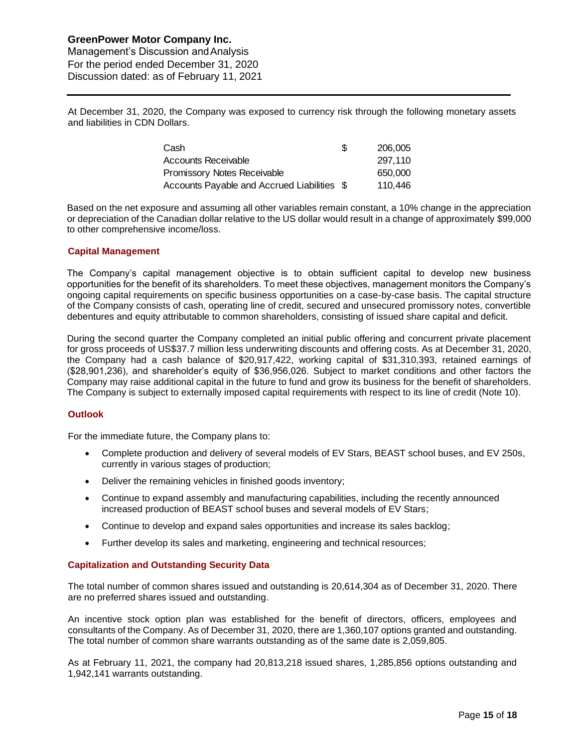Management's Discussion andAnalysis For the period ended December 31, 2020 Discussion dated: as of February 11, 2021

At December 31, 2020, the Company was exposed to currency risk through the following monetary assets and liabilities in CDN Dollars.

| Cash                                        | S. | 206,005 |
|---------------------------------------------|----|---------|
| <b>Accounts Receivable</b>                  |    | 297.110 |
| Promissory Notes Receivable                 |    | 650,000 |
| Accounts Payable and Accrued Liabilities \$ |    | 110.446 |

Based on the net exposure and assuming all other variables remain constant, a 10% change in the appreciation or depreciation of the Canadian dollar relative to the US dollar would result in a change of approximately \$99,000 to other comprehensive income/loss.

### **Capital Management**

The Company's capital management objective is to obtain sufficient capital to develop new business opportunities for the benefit of its shareholders. To meet these objectives, management monitors the Company's ongoing capital requirements on specific business opportunities on a case-by-case basis. The capital structure of the Company consists of cash, operating line of credit, secured and unsecured promissory notes, convertible debentures and equity attributable to common shareholders, consisting of issued share capital and deficit.

During the second quarter the Company completed an initial public offering and concurrent private placement for gross proceeds of US\$37.7 million less underwriting discounts and offering costs. As at December 31, 2020, the Company had a cash balance of \$20,917,422, working capital of \$31,310,393, retained earnings of (\$28,901,236), and shareholder's equity of \$36,956,026. Subject to market conditions and other factors the Company may raise additional capital in the future to fund and grow its business for the benefit of shareholders. The Company is subject to externally imposed capital requirements with respect to its line of credit (Note 10).

### **Outlook**

For the immediate future, the Company plans to:

- Complete production and delivery of several models of EV Stars, BEAST school buses, and EV 250s, currently in various stages of production;
- Deliver the remaining vehicles in finished goods inventory;
- Continue to expand assembly and manufacturing capabilities, including the recently announced increased production of BEAST school buses and several models of EV Stars;
- Continue to develop and expand sales opportunities and increase its sales backlog;
- Further develop its sales and marketing, engineering and technical resources;

### **Capitalization and Outstanding Security Data**

The total number of common shares issued and outstanding is 20,614,304 as of December 31, 2020. There are no preferred shares issued and outstanding.

An incentive stock option plan was established for the benefit of directors, officers, employees and consultants of the Company. As of December 31, 2020, there are 1,360,107 options granted and outstanding. The total number of common share warrants outstanding as of the same date is 2,059,805.

As at February 11, 2021, the company had 20,813,218 issued shares, 1,285,856 options outstanding and 1,942,141 warrants outstanding.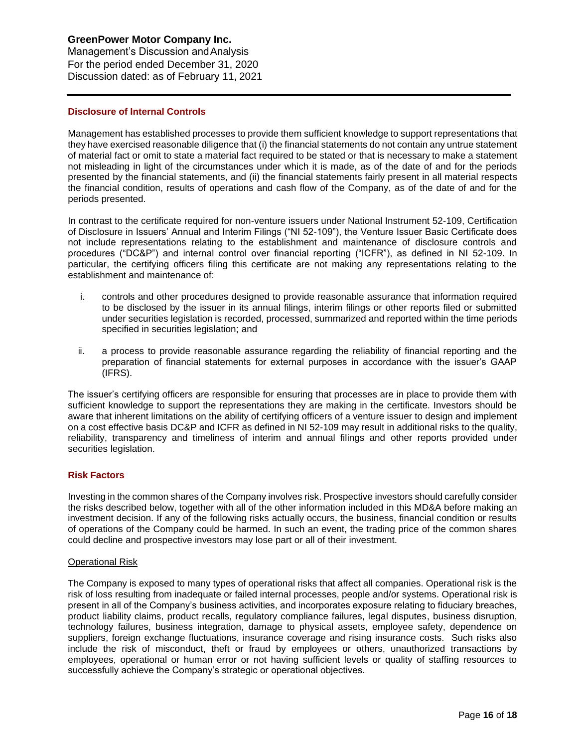Management's Discussion andAnalysis For the period ended December 31, 2020 Discussion dated: as of February 11, 2021

### **Disclosure of Internal Controls**

Management has established processes to provide them sufficient knowledge to support representations that they have exercised reasonable diligence that (i) the financial statements do not contain any untrue statement of material fact or omit to state a material fact required to be stated or that is necessary to make a statement not misleading in light of the circumstances under which it is made, as of the date of and for the periods presented by the financial statements, and (ii) the financial statements fairly present in all material respects the financial condition, results of operations and cash flow of the Company, as of the date of and for the periods presented.

In contrast to the certificate required for non-venture issuers under National Instrument 52-109, Certification of Disclosure in Issuers' Annual and Interim Filings ("NI 52-109"), the Venture Issuer Basic Certificate does not include representations relating to the establishment and maintenance of disclosure controls and procedures ("DC&P") and internal control over financial reporting ("ICFR"), as defined in NI 52-109. In particular, the certifying officers filing this certificate are not making any representations relating to the establishment and maintenance of:

- i. controls and other procedures designed to provide reasonable assurance that information required to be disclosed by the issuer in its annual filings, interim filings or other reports filed or submitted under securities legislation is recorded, processed, summarized and reported within the time periods specified in securities legislation; and
- ii. a process to provide reasonable assurance regarding the reliability of financial reporting and the preparation of financial statements for external purposes in accordance with the issuer's GAAP (IFRS).

The issuer's certifying officers are responsible for ensuring that processes are in place to provide them with sufficient knowledge to support the representations they are making in the certificate. Investors should be aware that inherent limitations on the ability of certifying officers of a venture issuer to design and implement on a cost effective basis DC&P and ICFR as defined in NI 52-109 may result in additional risks to the quality, reliability, transparency and timeliness of interim and annual filings and other reports provided under securities legislation.

### **Risk Factors**

Investing in the common shares of the Company involves risk. Prospective investors should carefully consider the risks described below, together with all of the other information included in this MD&A before making an investment decision. If any of the following risks actually occurs, the business, financial condition or results of operations of the Company could be harmed. In such an event, the trading price of the common shares could decline and prospective investors may lose part or all of their investment.

### Operational Risk

The Company is exposed to many types of operational risks that affect all companies. Operational risk is the risk of loss resulting from inadequate or failed internal processes, people and/or systems. Operational risk is present in all of the Company's business activities, and incorporates exposure relating to fiduciary breaches, product liability claims, product recalls, regulatory compliance failures, legal disputes, business disruption, technology failures, business integration, damage to physical assets, employee safety, dependence on suppliers, foreign exchange fluctuations, insurance coverage and rising insurance costs. Such risks also include the risk of misconduct, theft or fraud by employees or others, unauthorized transactions by employees, operational or human error or not having sufficient levels or quality of staffing resources to successfully achieve the Company's strategic or operational objectives.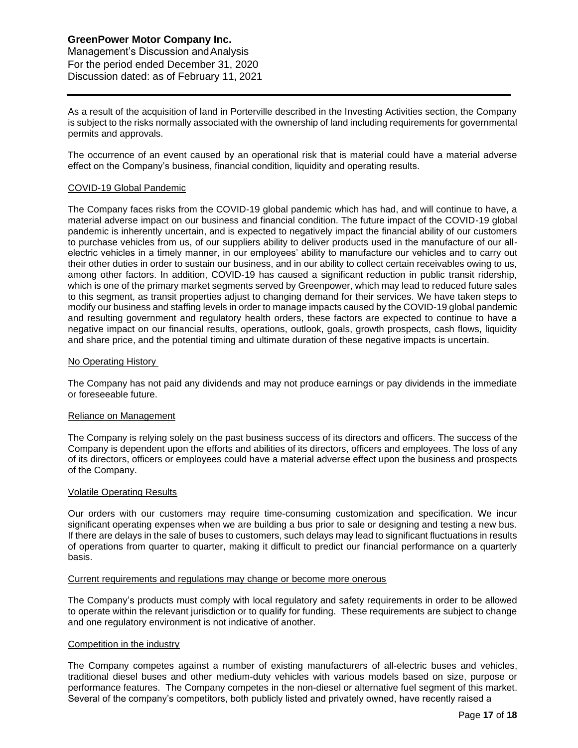Management's Discussion andAnalysis For the period ended December 31, 2020 Discussion dated: as of February 11, 2021

As a result of the acquisition of land in Porterville described in the Investing Activities section, the Company is subject to the risks normally associated with the ownership of land including requirements for governmental permits and approvals.

The occurrence of an event caused by an operational risk that is material could have a material adverse effect on the Company's business, financial condition, liquidity and operating results.

### COVID-19 Global Pandemic

The Company faces risks from the COVID-19 global pandemic which has had, and will continue to have, a material adverse impact on our business and financial condition. The future impact of the COVID-19 global pandemic is inherently uncertain, and is expected to negatively impact the financial ability of our customers to purchase vehicles from us, of our suppliers ability to deliver products used in the manufacture of our allelectric vehicles in a timely manner, in our employees' ability to manufacture our vehicles and to carry out their other duties in order to sustain our business, and in our ability to collect certain receivables owing to us, among other factors. In addition, COVID-19 has caused a significant reduction in public transit ridership, which is one of the primary market segments served by Greenpower, which may lead to reduced future sales to this segment, as transit properties adjust to changing demand for their services. We have taken steps to modify our business and staffing levels in order to manage impacts caused by the COVID-19 global pandemic and resulting government and regulatory health orders, these factors are expected to continue to have a negative impact on our financial results, operations, outlook, goals, growth prospects, cash flows, liquidity and share price, and the potential timing and ultimate duration of these negative impacts is uncertain.

### No Operating History

The Company has not paid any dividends and may not produce earnings or pay dividends in the immediate or foreseeable future.

#### Reliance on Management

The Company is relying solely on the past business success of its directors and officers. The success of the Company is dependent upon the efforts and abilities of its directors, officers and employees. The loss of any of its directors, officers or employees could have a material adverse effect upon the business and prospects of the Company.

### Volatile Operating Results

Our orders with our customers may require time-consuming customization and specification. We incur significant operating expenses when we are building a bus prior to sale or designing and testing a new bus. If there are delays in the sale of buses to customers, such delays may lead to significant fluctuations in results of operations from quarter to quarter, making it difficult to predict our financial performance on a quarterly basis.

### Current requirements and regulations may change or become more onerous

The Company's products must comply with local regulatory and safety requirements in order to be allowed to operate within the relevant jurisdiction or to qualify for funding. These requirements are subject to change and one regulatory environment is not indicative of another.

### Competition in the industry

The Company competes against a number of existing manufacturers of all-electric buses and vehicles, traditional diesel buses and other medium-duty vehicles with various models based on size, purpose or performance features. The Company competes in the non-diesel or alternative fuel segment of this market. Several of the company's competitors, both publicly listed and privately owned, have recently raised a